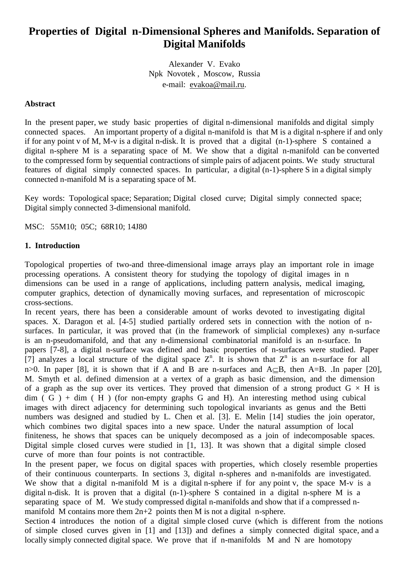# **Properties of Digital n-Dimensional Spheres and Manifolds. Separation of Digital Manifolds**

Alexander V. Evako Npk Novotek , Moscow, Russia e-mail: [evakoa@mail.ru.](mailto:evakoa@mail.ru)

#### **Abstract**

In the present paper, we study basic properties of digital n-dimensional manifolds and digital simply connected spaces. An important property of a digital n-manifold is that M is a digital n-sphere if and only if for any point v of M, M-v is a digital n-disk. It is proved that a digital (n-1)-sphere S contained a digital n-sphere M is a separating space of M. We show that a digital n-manifold can be converted to the compressed form by sequential contractions of simple pairs of adjacent points. We study structural features of digital simply connected spaces. In particular, a digital (n-1)-sphere S in a digital simply connected n-manifold M is a separating space of M.

Key words: Topological space; Separation; Digital closed curve; Digital simply connected space; Digital simply connected 3-dimensional manifold.

MSC: 55M10; 05C; 68R10; 14J80

#### **1. Introduction**

Topological properties of two-and three-dimensional image arrays play an important role in image processing operations. A consistent theory for studying the topology of digital images in n dimensions can be used in a range of applications, including pattern analysis, medical imaging, computer graphics, detection of dynamically moving surfaces, and representation of microscopic cross-sections.

In recent years, there has been a considerable amount of works devoted to investigating digital spaces. X. Daragon et al. [4-5] studied partially ordered sets in connection with the notion of nsurfaces. In particular, it was proved that (in the framework of simplicial complexes) any n-surface is an n-pseudomanifold, and that any n-dimensional combinatorial manifold is an n-surface. In papers [7-8], a digital n-surface was defined and basic properties of n-surfaces were studied. Paper [7] analyzes a local structure of the digital space  $Z<sup>n</sup>$ . It is shown that  $Z<sup>n</sup>$  is an n-surface for all n $>0$ . In paper [8], it is shown that if A and B are n-surfaces and A $\subset$ B, then A=B. .In paper [20], M. Smyth et al. defined dimension at a vertex of a graph as basic dimension, and the dimension of a graph as the sup over its vertices. They proved that dimension of a strong product  $G \times H$  is  $dim ( G ) + dim ( H )$  (for non-empty graphs G and H). An interesting method using cubical images with direct adjacency for determining such topological invariants as genus and the Betti numbers was designed and studied by L. Chen et al. [3]. E. Melin [14] studies the join operator, which combines two digital spaces into a new space. Under the natural assumption of local finiteness, he shows that spaces can be uniquely decomposed as a join of indecomposable spaces. Digital simple closed curves were studied in [1, 13]. It was shown that a digital simple closed curve of more than four points is not contractible.

In the present paper, we focus on digital spaces with properties, which closely resemble properties of their continuous counterparts. In sections 3, digital n-spheres and n-manifolds are investigated. We show that a digital n-manifold M is a digital n-sphere if for any point v, the space M-v is a digital n-disk. It is proven that a digital (n-1)-sphere S contained in a digital n-sphere M is a separating space of M. We study compressed digital n-manifolds and show that if a compressed nmanifold M contains more them  $2n+2$  points then M is not a digital n-sphere.

Section 4 introduces the notion of a digital simple closed curve (which is different from the notions of simple closed curves given in [1] and [13]) and defines a simply connected digital space, and a locally simply connected digital space. We prove that if n-manifolds M and N are homotopy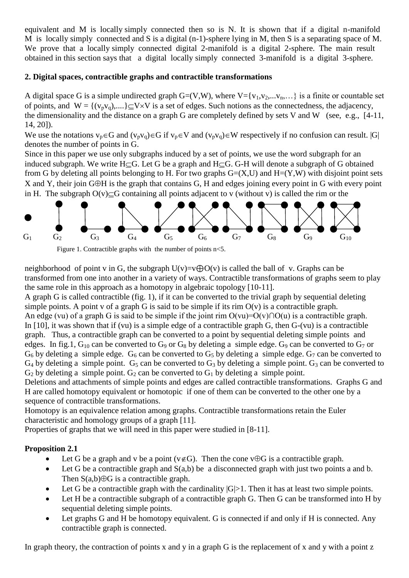equivalent and M is locally simply connected then so is N. It is shown that if a digital n-manifold M is locally simply connected and S is a digital (n-1)-sphere lying in M, then S is a separating space of M. We prove that a locally simply connected digital 2-manifold is a digital 2-sphere. The main result obtained in this section says that a digital locally simply connected 3-manifold is a digital 3-sphere.

#### **2. Digital spaces, contractible graphs and contractible transformations**

A digital space G is a simple undirected graph  $G=(V,W)$ , where  $V=\{v_1,v_2,...v_n,...\}$  is a finite or countable set of points, and  $W = \{(v_n v_q),...,v\} \subset V \times V$  is a set of edges. Such notions as the connectedness, the adjacency, the dimensionality and the distance on a graph G are completely defined by sets V and W (see, e.g., [4-11, 14, 20]).

We use the notations  $v_p \in G$  and  $(v_p v_q) \in G$  if  $v_p \in V$  and  $(v_p v_q) \in W$  respectively if no confusion can result.  $|G|$ denotes the number of points in G.

Since in this paper we use only subgraphs induced by a set of points, we use the word subgraph for an induced subgraph. We write  $H \subset G$ . Let G be a graph and  $H \subset G$ . G-H will denote a subgraph of G obtained from G by deleting all points belonging to H. For two graphs  $G=(X,U)$  and  $H=(Y,W)$  with disjoint point sets X and Y, their join G $\oplus$ H is the graph that contains G, H and edges joining every point in G with every point in H. The subgraph  $O(v) \subset G$  containing all points adjacent to v (without v) is called the rim or the



Figure 1. Contractible graphs with the number of points  $n < 5$ .

neighborhood of point v in G, the subgraph  $U(v)=v\bigoplus O(v)$  is called the ball of v. Graphs can be transformed from one into another in a variety of ways. Contractible transformations of graphs seem to play the same role in this approach as a homotopy in algebraic topology [10-11].

A graph G is called contractible (fig. 1), if it can be converted to the trivial graph by sequential deleting simple points. A point v of a graph G is said to be simple if its rim  $O(v)$  is a contractible graph.

An edge (vu) of a graph G is said to be simple if the joint rim  $O(vu) = O(v) \cap O(u)$  is a contractible graph. In [10], it was shown that if (vu) is a simple edge of a contractible graph G, then G-(vu) is a contractible graph. Thus, a contractible graph can be converted to a point by sequential deleting simple points and edges. In fig.1,  $G_{10}$  can be converted to  $G_9$  or  $G_8$  by deleting a simple edge.  $G_9$  can be converted to  $G_7$  or  $G_6$  by deleting a simple edge.  $G_6$  can be converted to  $G_5$  by deleting a simple edge.  $G_7$  can be converted to  $G_4$  by deleting a simple point.  $G_5$  can be converted to  $G_3$  by deleting a simple point.  $G_3$  can be converted to  $G_2$  by deleting a simple point.  $G_2$  can be converted to  $G_1$  by deleting a simple point.

Deletions and attachments of simple points and edges are called contractible transformations. Graphs G and H are called homotopy equivalent or homotopic if one of them can be converted to the other one by a sequence of contractible transformations.

Homotopy is an equivalence relation among graphs. Contractible transformations retain the Euler characteristic and homology groups of a graph [11].

Properties of graphs that we will need in this paper were studied in [8-11].

## **Proposition 2.1**

- Let G be a graph and v be a point ( $v \notin G$ ). Then the cone  $v \oplus G$  is a contractible graph.
- Let G be a contractible graph and  $S(a,b)$  be a disconnected graph with just two points a and b. Then  $S(a,b)\oplus G$  is a contractible graph.
- Let G be a contractible graph with the cardinality  $|G|>1$ . Then it has at least two simple points.
- Let H be a contractible subgraph of a contractible graph G. Then G can be transformed into H by sequential deleting simple points.
- Let graphs G and H be homotopy equivalent. G is connected if and only if H is connected. Any contractible graph is connected.

In graph theory, the contraction of points x and y in a graph G is the replacement of x and y with a point z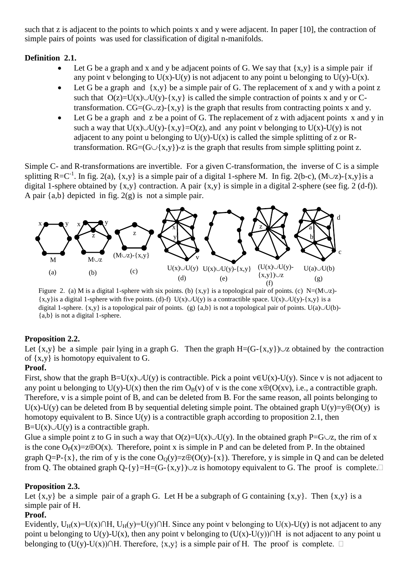such that z is adjacent to the points to which points x and y were adjacent. In paper [10], the contraction of simple pairs of points was used for classification of digital n-manifolds.

## **Definition 2.1.**

- Let G be a graph and x and y be adjacent points of G. We say that  $\{x, y\}$  is a simple pair if any point v belonging to  $U(x)$ - $U(y)$  is not adjacent to any point u belonging to  $U(y)$ - $U(x)$ .
- Let G be a graph and  $\{x,y\}$  be a simple pair of G. The replacement of x and y with a point z such that  $O(z) = U(x) \cup U(y) - \{x,y\}$  is called the simple contraction of points x and y or Ctransformation.  $CG=(G\cup Z)-\{x,y\}$  is the graph that results from contracting points x and y.
- Let G be a graph and z be a point of G. The replacement of z with adjacent points x and y in such a way that  $U(x) \cup U(y) - \{x,y\} = O(z)$ , and any point v belonging to  $U(x)$ - $U(y)$  is not adjacent to any point u belonging to  $U(y)$ - $U(x)$  is called the simple splitting of z or Rtransformation.  $RG = (G \cup \{x,y\})$ -z is the graph that results from simple splitting point z.

Simple C- and R-transformations are invertible. For a given C-transformation, the inverse of C is a simple splitting R=C<sup>-1</sup>. In fig. 2(a), {x,y} is a simple pair of a digital 1-sphere M. In fig. 2(b-c), (M $\cup$ z)-{x,y}is a digital 1-sphere obtained by  $\{x,y\}$  contraction. A pair  $\{x,y\}$  is simple in a digital 2-sphere (see fig. 2 (d-f)). A pair  $\{a,b\}$  depicted in fig.  $2(g)$  is not a simple pair.



Figure 2. (a) M is a digital 1-sphere with six points. (b)  $\{x,y\}$  is a topological pair of points. (c) N=(M $\cup$ z)- $\{x,y\}$  is a digital 1-sphere with five points. (d)-f)  $U(x) \cup U(y)$  is a contractible space.  $U(x) \cup U(y)$ - $\{x,y\}$  is a digital 1-sphere. {x,y} is a topological pair of points. (g) {a,b} is not a topological pair of points. U(a) $\cup$ U(b)-{a,b} is not a digital 1-sphere.

## **Proposition 2.2.**

Let  $\{x,y\}$  be a simple pair lying in a graph G. Then the graph  $H=(G-\{x,y\})\cup z$  obtained by the contraction of {x,y} is homotopy equivalent to G.

## **Proof.**

First, show that the graph B=U(x) $\cup$ U(y) is contractible. Pick a point v $\in$ U(x)-U(y). Since v is not adjacent to any point u belonging to  $U(y)$ - $U(x)$  then the rim  $O_B(y)$  of v is the cone  $x\oplus (O(xy))$ , i.e., a contractible graph. Therefore, v is a simple point of B, and can be deleted from B. For the same reason, all points belonging to U(x)-U(y) can be deleted from B by sequential deleting simple point. The obtained graph U(y)=y $\oplus$ (O(y) is homotopy equivalent to B. Since  $U(y)$  is a contractible graph according to proposition 2.1, then  $B=U(x)\cup U(y)$  is a contractible graph.

Glue a simple point z to G in such a way that  $O(z) = U(x) \cup U(y)$ . In the obtained graph P=G $\cup z$ , the rim of x is the cone  $O_P(x)=z\oplus O(x)$ . Therefore, point x is simple in P and can be deleted from P. In the obtained graph Q=P-{x}, the rim of y is the cone  $O_0(y)=z\oplus (O(y)-\{x\})$ . Therefore, y is simple in Q and can be deleted from Q. The obtained graph Q-{y}=H=(G-{x,y}) $\cup$ z is homotopy equivalent to G. The proof is complete.

## **Proposition 2.3.**

Let  $\{x,y\}$  be a simple pair of a graph G. Let H be a subgraph of G containing  $\{x,y\}$ . Then  $\{x,y\}$  is a simple pair of H.

## **Proof.**

Evidently, U<sub>H</sub>(x)=U(x)∩H, U<sub>H</sub>(y)=U(y)∩H. Since any point v belonging to U(x)-U(y) is not adjacent to any point u belonging to U(y)-U(x), then any point v belonging to  $(U(x)-U(y))\cap H$  is not adjacent to any point u belonging to (U(y)-U(x))∩H. Therefore,  $\{x,y\}$  is a simple pair of H. The proof is complete.  $\Box$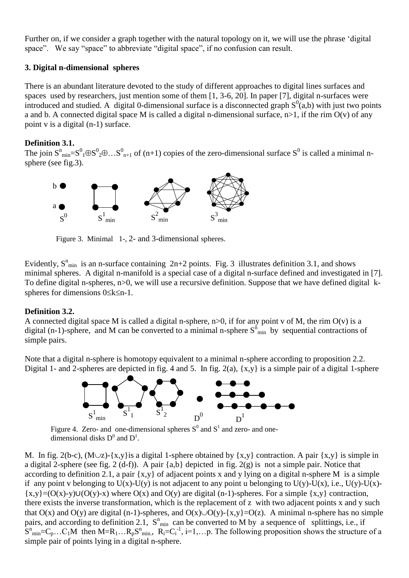Further on, if we consider a graph together with the natural topology on it, we will use the phrase "digital space". We say "space" to abbreviate "digital space", if no confusion can result.

#### **3. Digital n-dimensional spheres**

There is an abundant literature devoted to the study of different approaches to digital lines surfaces and spaces used by researchers, just mention some of them [1, 3-6, 20]. In paper [7], digital n-surfaces were introduced and studied. A digital 0-dimensional surface is a disconnected graph  $S^0(a,b)$  with just two points a and b. A connected digital space M is called a digital n-dimensional surface,  $n>1$ , if the rim O(v) of any point v is a digital (n-1) surface.

#### **Definition 3.1.**

The join  $S^{n}$ <sub>min</sub>= $S^{0}$ <sub>1</sub> $\oplus S^{0}$ <sub>2</sub> $\oplus$ ...S<sup>0</sup><sub>n+1</sub> of (n+1) copies of the zero-dimensional surface  $S^{0}$  is called a minimal nsphere (see fig.3).



Figure 3. Minimal 1-, 2- and 3-dimensional spheres.

Evidently,  $S_{\text{min}}^n$  is an n-surface containing  $2n+2$  points. Fig. 3 illustrates definition 3.1, and shows minimal spheres. A digital n-manifold is a special case of a digital n-surface defined and investigated in [7]. To define digital n-spheres, n>0, we will use a recursive definition. Suppose that we have defined digital kspheres for dimensions  $0 \le k \le n-1$ .

#### **Definition 3.2.**

A connected digital space M is called a digital n-sphere,  $n>0$ , if for any point v of M, the rim O(v) is a digital (n-1)-sphere, and M can be converted to a minimal n-sphere  $S_{\text{min}}^n$  by sequential contractions of simple pairs.

Note that a digital n-sphere is homotopy equivalent to a minimal n-sphere according to proposition 2.2. Digital 1- and 2-spheres are depicted in fig. 4 and 5. In fig.  $2(a)$ ,  $\{x,y\}$  is a simple pair of a digital 1-sphere



Figure 4. Zero- and one-dimensional spheres  $S^0$  and  $S^1$  and zero- and onedimensional disks  $D^0$  and  $D^1$ .

M. In fig. 2(b-c),  $(M\cup Z)$ -{x,y} is a digital 1-sphere obtained by {x,y} contraction. A pair {x,y} is simple in a digital 2-sphere (see fig. 2 (d-f)). A pair  $\{a,b\}$  depicted in fig.  $2(g)$  is not a simple pair. Notice that according to definition 2.1, a pair {x,y} of adjacent points x and y lying on a digital n-sphere M is a simple if any point v belonging to U(x)-U(y) is not adjacent to any point u belonging to U(y)-U(x), i.e., U(y)-U(x)- ${x,y}=(O(x)-y)U(O(y)-x)$  where  $O(x)$  and  $O(y)$  are digital (n-1)-spheres. For a simple  ${x,y}$  contraction, there exists the inverse transformation, which is the replacement of z with two adjacent points x and y such that  $O(x)$  and  $O(y)$  are digital (n-1)-spheres, and  $O(x) \cup O(y)$ -{x,y}= $O(z)$ . A minimal n-sphere has no simple pairs, and according to definition 2.1,  $S_{\text{min}}^n$  can be converted to M by a sequence of splittings, i.e., if  $S^n_{\text{min}}=C_p...C_1M$  then  $M=R_1...R_pS^n_{\text{min}}$ ,  $R_i=C_i^{-1}$ ,  $i=1,...p$ . The following proposition shows the structure of a simple pair of points lying in a digital n-sphere.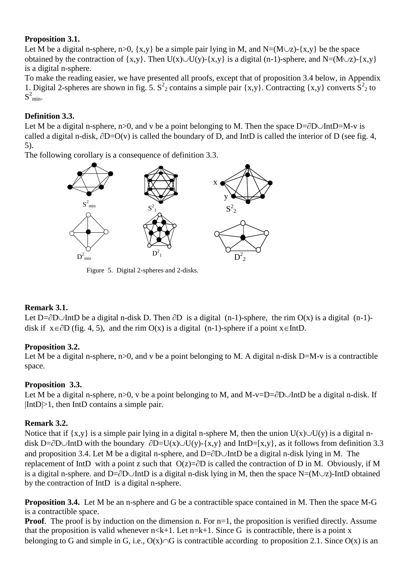#### **Proposition 3.1.**

Let M be a digital n-sphere, n>0, {x,y} be a simple pair lying in M, and N=(M $\cup$ z)-{x,y} be the space obtained by the contraction of  $\{x,y\}$ . Then  $U(x) \cup U(y) - \{x,y\}$  is a digital (n-1)-sphere, and N=(M $\cup$ z)- $\{x,y\}$ is a digital n-sphere.

To make the reading easier, we have presented all proofs, except that of proposition 3.4 below, in Appendix 1. Digital 2-spheres are shown in fig. 5.  $S^2$  contains a simple pair {x,y}. Contracting {x,y} converts  $S^2$  to  $S^2_{min}$ .

## **Definition 3.3.**

Let M be a digital n-sphere, n>0, and v be a point belonging to M. Then the space  $D=\partial D\cup Int D=M-v$  is called a digital n-disk,  $\partial D = O(v)$  is called the boundary of D, and IntD is called the interior of D (see fig. 4, 5).

The following corollary is a consequence of definition 3.3.



Figure 5. Digital 2-spheres and 2-disks.

## **Remark 3.1.**

Let D= $\partial$ D $\cup$ IntD be a digital n-disk D. Then  $\partial$ D is a digital (n-1)-sphere, the rim O(x) is a digital (n-1)disk if  $x \in \partial D$  (fig. 4, 5), and the rim O(x) is a digital (n-1)-sphere if a point  $x \in IntD$ .

## **Proposition 3.2.**

Let M be a digital n-sphere,  $n>0$ , and v be a point belonging to M. A digital n-disk D=M-v is a contractible space.

## **Proposition 3.3.**

Let M be a digital n-sphere, n>0, v be a point belonging to M, and M-v=D= $\partial$ D $\cup$ IntD be a digital n-disk. If  $|IntD|>1$ , then IntD contains a simple pair.

## **Remark 3.2.**

Notice that if  $\{x,y\}$  is a simple pair lying in a digital n-sphere M, then the union  $U(x)\cup U(y)$  is a digital ndisk D= $\partial$ D $\cup$ IntD with the boundary  $\partial$ D=U(x) $\cup$ U(y)-{x,y} and IntD=[x,y}, as it follows from definition 3.3 and proposition 3.4. Let M be a digital n-sphere, and  $D = \partial D \cup Int D$  be a digital n-disk lying in M. The replacement of IntD with a point z such that  $O(z)=\partial D$  is called the contraction of D in M. Obviously, if M is a digital n-sphere, and D= $\partial$ D $\cup$ IntD is a digital n-disk lying in M, then the space N=(M $\cup$ z)-IntD obtained by the contraction of IntD is a digital n-sphere.

**Proposition 3.4.** Let M be an n-sphere and G be a contractible space contained in M. Then the space M-G is a contractible space.

**Proof.** The proof is by induction on the dimension n. For n=1, the proposition is verified directly. Assume that the proposition is valid whenever  $n < k+1$ . Let  $n = k+1$ . Since G is contractible, there is a point x belonging to G and simple in G, i.e.,  $O(x) \cap G$  is contractible according to proposition 2.1. Since  $O(x)$  is an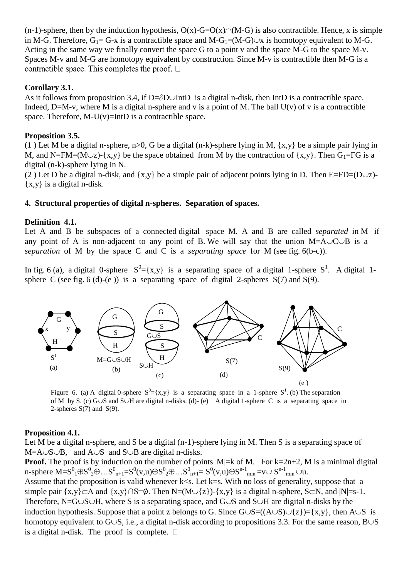$(n-1)$ -sphere, then by the induction hypothesis,  $O(x)$ -G= $O(x) \cap (M-G)$  is also contractible. Hence, x is simple in M-G. Therefore,  $G_1 = G-x$  is a contractible space and M- $G_1 = (M-G) \cup x$  is homotopy equivalent to M-G. Acting in the same way we finally convert the space G to a point v and the space M-G to the space M-v. Spaces M-v and M-G are homotopy equivalent by construction. Since M-v is contractible then M-G is a contractible space. This completes the proof.  $\Box$ 

#### **Corollary 3.1.**

As it follows from proposition 3.4, if  $D = \partial D \cup Int D$  is a digital n-disk, then IntD is a contractible space. Indeed, D=M-v, where M is a digital n-sphere and v is a point of M. The ball  $U(v)$  of v is a contractible space. Therefore,  $M-U(v)=IntD$  is a contractible space.

#### **Proposition 3.5.**

(1) Let M be a digital n-sphere, n>0, G be a digital (n-k)-sphere lying in M,  $\{x,y\}$  be a simple pair lying in M, and N=FM=(M $\cup$ z)-{x,y} be the space obtained from M by the contraction of {x,y}. Then G<sub>1</sub>=FG is a digital (n-k)-sphere lying in N.

(2) Let D be a digital n-disk, and  $\{x,y\}$  be a simple pair of adjacent points lying in D. Then E=FD=(D $\cup$ z)-{x,y} is a digital n-disk.

#### **4. Structural properties of digital n-spheres. Separation of spaces.**

#### **Definition 4.1.**

Let A and B be subspaces of a connected digital space M. A and B are called *separated* in M if any point of A is non-adjacent to any point of B. We will say that the union  $M = A \cup C \cup B$  is a *separation* of M by the space C and C is a *separating space* for M (see fig. 6(b-c)).

In fig. 6 (a), a digital 0-sphere  $S^0 = \{x,y\}$  is a separating space of a digital 1-sphere  $S^1$ . A digital 1sphere C (see fig. 6 (d)-(e)) is a separating space of digital 2-spheres  $S(7)$  and  $S(9)$ .



Figure 6. (a) A digital 0-sphere  $S^0 = \{x, y\}$  is a separating space in a 1-sphere  $S^1$ . (b) The separation of M by S. (c) G $\cup$ S and S $\cup$ H are digital n-disks. (d)-(e) A digital 1-sphere C is a separating space in 2-spheres  $S(7)$  and  $S(9)$ .

#### **Proposition 4.1.**

Let M be a digital n-sphere, and S be a digital (n-1)-sphere lying in M. Then S is a separating space of  $M=A\cup S\cup B$ , and  $A\cup S$  and  $S\cup B$  are digital n-disks.

**Proof.** The proof is by induction on the number of points  $|M|=k$  of M. For  $k=2n+2$ , M is a minimal digital n-sphere  $M = S^0{}_1 \oplus S^0{}_2 \oplus ... S^0{}_{n+1} = S^0(v,u) \oplus S^0{}_2 \oplus ... S^0{}_{n+1} = S^0(v,u) \oplus S^{n-1}{}_{min} = v \cup S^{n-1}{}_{min} \cup u.$ Assume that the proposition is valid whenever  $k \leq s$ . Let  $k=s$ . With no loss of generality, suppose that a simple pair  $\{x,y\}\subset A$  and  $\{x,y\}\cap S=\emptyset$ . Then N=(M $\cup$ {z})-{x,y} is a digital n-sphere, S $\subset N$ , and |N|=s-1. Therefore, N=G $\cup$ S $\cup$ H, where S is a separating space, and G $\cup$ S and S $\cup$ H are digital n-disks by the induction hypothesis. Suppose that a point z belongs to G. Since  $G \cup S = ((A \cup S) \cup \{z\}) = \{x,y\}$ , then  $A \cup S$  is homotopy equivalent to G $\cup$ S, i.e., a digital n-disk according to propositions 3.3. For the same reason, B $\cup$ S is a digital n-disk. The proof is complete.  $\Box$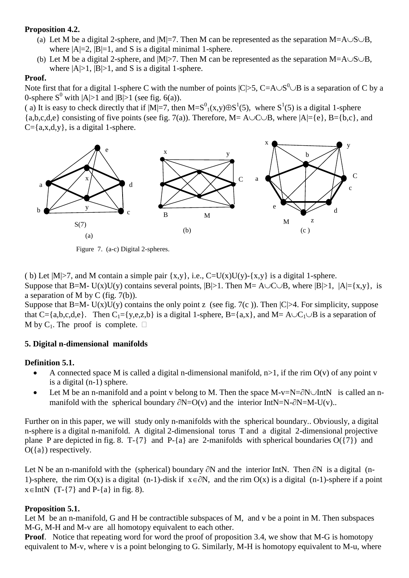#### **Proposition 4.2.**

- (a) Let M be a digital 2-sphere, and  $|M|=7$ . Then M can be represented as the separation M=A $\cup$ S $\cup$ B, where  $|A|=2$ ,  $|B|=1$ , and S is a digital minimal 1-sphere.
- (b) Let M be a digital 2-sphere, and  $|M|>7$ . Then M can be represented as the separation  $M=A\cup S\cup B$ , where  $|A|>1$ ,  $|B|>1$ , and S is a digital 1-sphere.

### **Proof.**

Note first that for a digital 1-sphere C with the number of points  $|C| > 5$ , C=A $\cup$ S<sup>0</sup> $\cup$ B is a separation of C by a 0-sphere  $S^0$  with  $|A|>1$  and  $|B|>1$  (see fig. 6(a)).

(a) It is easy to check directly that if  $|M|=7$ , then  $M=S^0(1)(x,y)\oplus S^1(5)$ , where  $S^1(5)$  is a digital 1-sphere {a,b,c,d,e} consisting of five points (see fig. 7(a)). Therefore,  $M = A \cup C \cup B$ , where  $|A| = \{e\}$ ,  $B = \{b,c\}$ , and  $C = \{a, x, d, y\}$ , is a digital 1-sphere.



Figure 7. (a-c) Digital 2-spheres.

( b) Let  $|M| > 7$ , and M contain a simple pair  $\{x,y\}$ , i.e.,  $C=U(x)U(y)-\{x,y\}$  is a digital 1-sphere. Suppose that B=M- U(x)U(y) contains several points,  $|B|>1$ . Then M= A $\cup$ C $\cup$ B, where  $|B|>1$ ,  $|A|=$ {x,y}, is a separation of M by C (fig.  $7(b)$ ).

Suppose that B=M-  $U(x)U(y)$  contains the only point z (see fig. 7(c)). Then  $|C|>4$ . For simplicity, suppose that C={a,b,c,d,e}. Then C<sub>1</sub>={y,e,z,b} is a digital 1-sphere, B={a,x}, and M=  $A \cup C_1 \cup B$  is a separation of M by  $C_1$ . The proof is complete.  $\Box$ 

#### **5. Digital n-dimensional manifolds**

#### **Definition 5.1.**

- A connected space M is called a digital n-dimensional manifold,  $n>1$ , if the rim O(v) of any point v is a digital (n-1) sphere.
- Let M be an n-manifold and a point v belong to M. Then the space M-v=N= $\partial$ N $\cup$ IntN is called an nmanifold with the spherical boundary  $\partial N = O(v)$  and the interior IntN=N- $\partial N = M - U(v)$ .

Further on in this paper, we will study only n-manifolds with the spherical boundary.. Obviously, a digital n-sphere is a digital n-manifold. A digital 2-dimensional torus T and a digital 2-dimensional projective plane P are depicted in fig. 8.  $T-\{7\}$  and P-{a} are 2-manifolds with spherical boundaries O({7}) and  $O({a})$  respectively.

Let N be an n-manifold with the (spherical) boundary  $\partial N$  and the interior IntN. Then  $\partial N$  is a digital (n-1)-sphere, the rim  $O(x)$  is a digital (n-1)-disk if  $x \in \partial N$ , and the rim  $O(x)$  is a digital (n-1)-sphere if a point  $x \in IntN$  (T-{7} and P-{a} in fig. 8).

#### **Proposition 5.1.**

Let M be an n-manifold, G and H be contractible subspaces of M, and v be a point in M. Then subspaces M-G, M-H and M-v are all homotopy equivalent to each other.

**Proof.** Notice that repeating word for word the proof of proposition 3.4, we show that M-G is homotopy equivalent to M-v, where v is a point belonging to G. Similarly, M-H is homotopy equivalent to M-u, where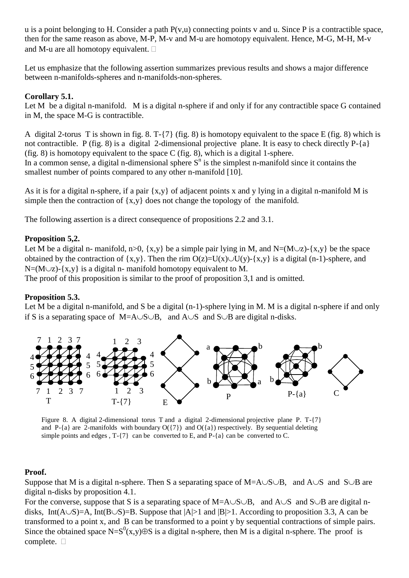u is a point belonging to H. Consider a path P(v,u) connecting points v and u. Since P is a contractible space, then for the same reason as above, M-P, M-v and M-u are homotopy equivalent. Hence, M-G, M-H, M-v and M-u are all homotopy equivalent.

Let us emphasize that the following assertion summarizes previous results and shows a major difference between n-manifolds-spheres and n-manifolds-non-spheres.

#### **Corollary 5.1.**

Let M be a digital n-manifold. M is a digital n-sphere if and only if for any contractible space G contained in M, the space M-G is contractible.

A digital 2-torus T is shown in fig. 8. T-{7} (fig. 8) is homotopy equivalent to the space E (fig. 8) which is not contractible. P (fig. 8) is a digital 2-dimensional projective plane. It is easy to check directly P-{a} (fig. 8) is homotopy equivalent to the space  $C$  (fig. 8), which is a digital 1-sphere. In a common sense, a digital n-dimensional sphere  $S<sup>n</sup>$  is the simplest n-manifold since it contains the smallest number of points compared to any other n-manifold [10].

As it is for a digital n-sphere, if a pair {x,y} of adjacent points x and y lying in a digital n-manifold M is simple then the contraction of  $\{x,y\}$  does not change the topology of the manifold.

The following assertion is a direct consequence of propositions 2.2 and 3.1.

### **Proposition 5,2.**

Let M be a digital n- manifold, n>0, {x,y} be a simple pair lying in M, and N=(M $\cup$ z)-{x,y} be the space obtained by the contraction of  $\{x,y\}$ . Then the rim  $O(z)=U(x)\cup U(y)-\{x,y\}$  is a digital (n-1)-sphere, and  $N=(M\cup Z)-\{x,y\}$  is a digital n- manifold homotopy equivalent to M.

The proof of this proposition is similar to the proof of proposition 3,1 and is omitted.

#### **Proposition 5.3.**

Let M be a digital n-manifold, and S be a digital (n-1)-sphere lying in M. M is a digital n-sphere if and only if S is a separating space of M=A $\cup$ S $\cup$ B, and A $\cup$ S and S $\cup$ B are digital n-disks.



Figure 8. A digital 2-dimensional torus T and a digital 2-dimensional projective plane P. T-{7} and P-{a} are 2-manifolds with boundary  $O({7})$  and  $O({a})$  respectively. By sequential deleting simple points and edges , T-{7} can be converted to E, and P-{a} can be converted to C.

#### **Proof.**

Suppose that M is a digital n-sphere. Then S a separating space of M=A $\cup$ S $\cup$ B, and A $\cup$ S and S $\cup$ B are digital n-disks by proposition 4.1.

For the converse, suppose that S is a separating space of M=A $\cup$ S $\cup$ B, and A $\cup$ S and S $\cup$ B are digital ndisks, Int( $A \cup S$ )=A, Int( $B \cup S$ )=B. Suppose that  $|A|>1$  and  $|B|>1$ . According to proposition 3.3, A can be transformed to a point x, and B can be transformed to a point y by sequential contractions of simple pairs. Since the obtained space N= $S^0(x,y)\oplus S$  is a digital n-sphere, then M is a digital n-sphere. The proof is complete.  $\square$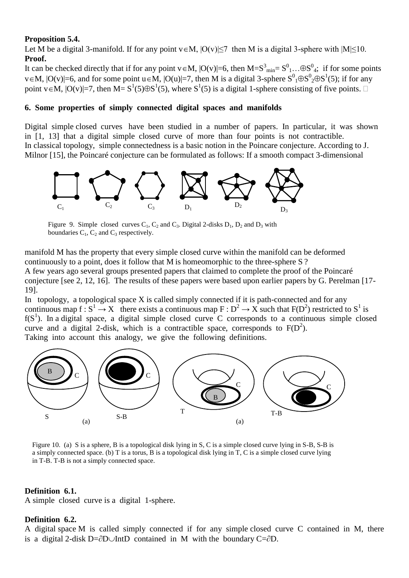#### **Proposition 5.4.**

Let M be a digital 3-manifold. If for any point  $v \in M$ ,  $|O(v)| \le 7$  then M is a digital 3-sphere with  $|M| \le 10$ . **Proof.**

It can be checked directly that if for any point  $v \in M$ ,  $|O(v)|=6$ , then  $M=S^3_{min}=S^0_{1} \dots \oplus S^0_{4}$ ; if for some points v  $\in$  M,  $|O(v)|$ =6, and for some point u $\in$  M,  $|O(u)|$ =7, then M is a digital 3-sphere  $S^0{}_1 \oplus S^0{}_2 \oplus S^1(5)$ ; if for any point v  $\in$  M,  $|O(v)|=7$ , then M =  $S^1(5)\oplus S^1(5)$ , where  $S^1(5)$  is a digital 1-sphere consisting of five points.  $\Box$ 

#### **6. Some properties of simply connected digital spaces and manifolds**

Digital simple closed curves have been studied in a number of papers. In particular, it was shown in [1, 13] that a digital simple closed curve of more than four points is not contractible. In classical topology, simple connectedness is a basic notion in the Poincare conjecture. According to J. Milnor [15], the Poincaré conjecture can be formulated as follows: If a smooth compact 3-dimensional



Figure 9. Simple closed curves  $C_1$ ,  $C_2$  and  $C_3$ . Digital 2-disks  $D_1$ ,  $D_2$  and  $D_3$  with boundaries  $C_1$ ,  $C_2$  and  $C_3$  respectively.

manifold M has the property that every simple closed curve within the manifold can be deformed continuously to a point, does it follow that M is homeomorphic to the three-sphere S ? A few years ago several groups presented papers that claimed to complete the proof of the Poincaré conjecture [see 2, 12, 16]. The results of these papers were based upon earlier papers by G. Perelman [17- 19].

In topology, a [topological space](http://en.wikipedia.org/wiki/Topological_space)  $X$  is called simply connected if it is path-connected and for any [continuous](http://en.wikipedia.org/wiki/Continuous_function_(topology)) map  $f: S^1 \to X$  there exists a continuous map  $F: D^2 \to X$  such that  $F(D^2)$  restricted to  $S^1$  is  $f(S<sup>1</sup>)$ . In a digital space, a digital simple closed curve C corresponds to a continuous simple closed curve and a digital 2-disk, which is a contractible space, corresponds to  $F(D^2)$ . Taking into account this analogy, we give the following definitions.



Figure 10. (a) S is a sphere, B is a topological disk lying in S, C is a simple closed curve lying in S-B, S-B is a simply connected space. (b) T is a torus, B is a topological disk lying in T, C is a simple closed curve lying in T-B. T-B is not a simply connected space.

#### **Definition 6.1.**

A simple closed curve is a digital 1-sphere.

#### **Definition 6.2.**

A digital space M is called simply connected if for any simple closed curve C contained in M, there is a digital 2-disk D= $\partial$ D $\cup$ IntD contained in M with the boundary C= $\partial$ D.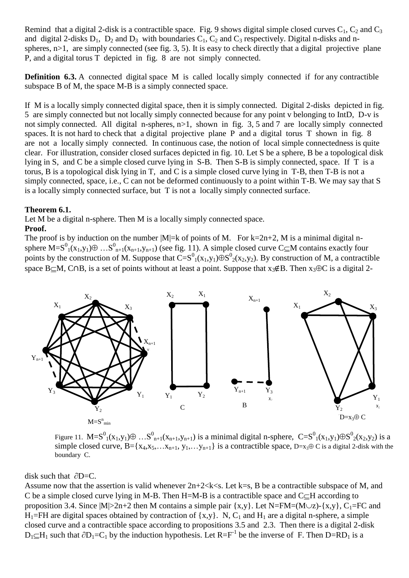Remind that a digital 2-disk is a contractible space. Fig. 9 shows digital simple closed curves  $C_1$ ,  $C_2$  and  $C_3$ and digital 2-disks  $D_1$ ,  $D_2$  and  $D_3$  with boundaries  $C_1$ ,  $C_2$  and  $C_3$  respectively. Digital n-disks and nspheres,  $n>1$ , are simply connected (see fig. 3, 5). It is easy to check directly that a digital projective plane P, and a digital torus T depicted in fig. 8 are not simply connected.

**Definition 6.3.** A connected digital space M is called locally simply connected if for any contractible subspace B of M, the space M-B is a simply connected space.

If M is a locally simply connected digital space, then it is simply connected. Digital 2-disks depicted in fig. 5 are simply connected but not locally simply connected because for any point v belonging to IntD, D-v is not simply connected. All digital n-spheres,  $n>1$ , shown in fig. 3, 5 and 7 are locally simply connected spaces. It is not hard to check that a digital projective plane P and a digital torus T shown in fig. 8 are not a locally simply connected. In continuous case, the notion of local simple connectedness is quite clear. For illustration, consider closed surfaces depicted in fig. 10. Let S be a sphere, B be a topological disk lying in S, and C be a simple closed curve lying in S-B. Then S-B is simply connected, space. If T is a torus, B is a topological disk lying in T, and C is a simple closed curve lying in T-B, then T-B is not a simply connected, space, i.e., C can not be deformed continuously to a point within T-B. We may say that S is a locally simply connected surface, but T is not a locally simply connected surface.

#### **Theorem 6.1.**

Let M be a digital n-sphere. Then M is a locally simply connected space. **Proof.** 

The proof is by induction on the number  $|M|=k$  of points of M. For  $k=2n+2$ , M is a minimal digital nsphere  $M = S^0(1(x_1, y_1) \oplus ... S^0(n+1)(x_{n+1}, y_{n+1})$  (see fig. 11). A simple closed curve C $\subseteq M$  contains exactly four points by the construction of M. Suppose that  $C=S^0(1(x_1,y_1)\oplus S^0(2(x_2,y_2))$ . By construction of M, a contractible space B $\subset$ M, C $\cap$ B, is a set of points without at least a point. Suppose that  $x_3 \notin B$ . Then  $x_3 \oplus C$  is a digital 2-



Figure 11. M= $S^0_{1}(x_1,y_1)\oplus ...S^0_{n+1}(x_{n+1},y_{n+1})$  is a minimal digital n-sphere,  $C=S^0_{1}(x_1,y_1)\oplus S^0_{2}(x_2,y_2)$  is a simple closed curve,  $B = \{x_4, x_5, \ldots x_{n+1}, y_1, \ldots y_{n+1}\}$  is a contractible space,  $D = x_3 \oplus C$  is a digital 2-disk with the boundary C.

disk such that  $\partial D=C$ .

Assume now that the assertion is valid whenever  $2n+2 < k < s$ . Let k=s, B be a contractible subspace of M, and C be a simple closed curve lying in M-B. Then H=M-B is a contractible space and  $C\subseteq H$  according to proposition 3.4. Since  $|M|>2n+2$  then M contains a simple pair  $\{x,y\}$ . Let N=FM=(M $\cup$ z)- $\{x,y\}$ , C<sub>1</sub>=FC and  $H_1=FH$  are digital spaces obtained by contraction of {x,y}. N, C<sub>1</sub> and H<sub>1</sub> are a digital n-sphere, a simple closed curve and a contractible space according to propositions 3.5 and 2.3. Then there is a digital 2-disk  $D_1 \subseteq H_1$  such that  $\partial D_1 = C_1$  by the induction hypothesis. Let R=F<sup>-1</sup> be the inverse of F. Then D=RD<sub>1</sub> is a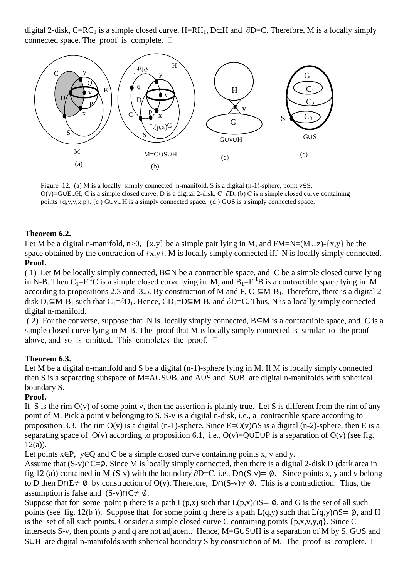digital 2-disk, C=RC<sub>1</sub> is a simple closed curve, H=RH<sub>1</sub>, D $\subseteq$ H and  $\partial$ D=C. Therefore, M is a locally simply connected space. The proof is complete.  $\square$ 



Figure 12. (a) M is a locally simply connected n-manifold, S is a digital  $(n-1)$ -sphere, point  $v \in S$ , O(v)=GUEUH, C is a simple closed curve, D is a digital 2-disk, C=∂D. (b) C is a simple closed curve containing points  ${q, y, v, x, p}$ . (c) GUvUH is a simply connected space. (d) GUS is a simply connected space.

#### **Theorem 6.2.**

Let M be a digital n-manifold, n>0, {x,y} be a simple pair lying in M, and FM=N=(M $\cup$ z)-{x,y} be the space obtained by the contraction of {x,y}. M is locally simply connected iff N is locally simply connected. **Proof.**

(1) Let M be locally simply connected,  $B \subseteq N$  be a contractible space, and C be a simple closed curve lying in N-B. Then  $C_1 = F^{-1}C$  is a simple closed curve lying in M, and  $B_1 = F^{-1}B$  is a contractible space lying in M according to propositions 2.3 and 3.5. By construction of M and F,  $C_1 \subseteq M-B_1$ . Therefore, there is a digital 2disk  $D_1 \subseteq M-B_1$  such that  $C_1 = \partial D_1$ . Hence,  $CD_1 = D \subseteq M-B$ , and  $\partial D=C$ . Thus, N is a locally simply connected digital n-manifold.

(2) For the converse, suppose that N is locally simply connected,  $B \subseteq M$  is a contractible space, and C is a simple closed curve lying in M-B. The proof that M is locally simply connected is similar to the proof above, and so is omitted. This completes the proof.  $\square$ 

#### **Theorem 6.3.**

Let M be a digital n-manifold and S be a digital (n-1)-sphere lying in M. If M is locally simply connected then S is a separating subspace of M=A $\cup$ S $\cup$ B, and A $\cup$ S and S $\cup$ B are digital n-manifolds with spherical boundary S.

#### **Proof.**

If S is the rim  $O(v)$  of some point v, then the assertion is plainly true. Let S is different from the rim of any point of M. Pick a point v belonging to S. S-v is a digital n-disk, i.e., a contractible space according to proposition 3.3. The rim  $O(v)$  is a digital (n-1)-sphere. Since  $E=O(v) \cap S$  is a digital (n-2)-sphere, then E is a separating space of  $O(v)$  according to proposition 6.1, i.e.,  $O(v)=O\cup E\cup P$  is a separation of  $O(v)$  (see fig.  $12(a)$ ).

Let points  $x \in P$ ,  $y \in O$  and C be a simple closed curve containing points x, v and y.

Assume that  $(S-v)$   $C=0$ . Since M is locally simply connected, then there is a digital 2-disk D (dark area in fig 12 (a)) contained in M-(S-v) with the boundary ∂D=C, i.e., D∩(S-v) =  $\emptyset$ . Since points x, y and v belong to D then D $\cap$ E $\neq \emptyset$  by construction of O(v). Therefore, D $\cap$ (S-v) $\neq \emptyset$ . This is a contradiction. Thus, the assumption is false and  $(S-v) \cap C \neq \emptyset$ .

Suppose that for some point p there is a path  $L(p,x)$  such that  $L(p,x) \cap S = \emptyset$ , and G is the set of all such points (see fig. 12(b)). Suppose that for some point q there is a path  $L(q,y)$  such that  $L(q,y) \cap S = \emptyset$ , and H is the set of all such points. Consider a simple closed curve C containing points {p,x,v,y,q}. Since C intersects S-v, then points p and q are not adjacent. Hence,  $M = GUSUH$  is a separation of M by S. GUS and SUH are digital n-manifolds with spherical boundary S by construction of M. The proof is complete.  $\Box$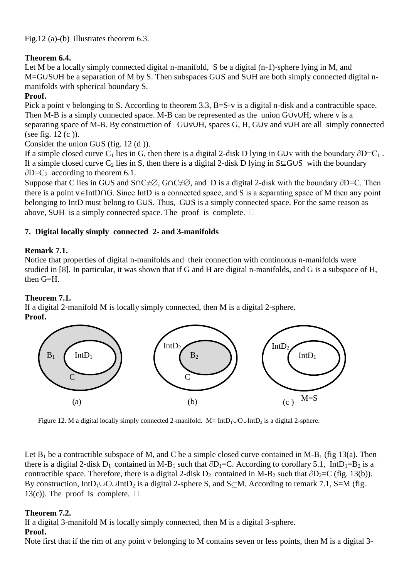Fig.12 (a)-(b) illustrates theorem 6.3.

## **Theorem 6.4.**

Let M be a locally simply connected digital n-manifold, S be a digital (n-1)-sphere lying in M, and  $M = G \cup S \cup H$  be a separation of M by S. Then subspaces GUS and SUH are both simply connected digital nmanifolds with spherical boundary S.

## **Proof.**

Pick a point v belonging to S. According to theorem 3.3, B=S-v is a digital n-disk and a contractible space. Then M-B is a simply connected space. M-B can be represented as the union  $GUVUH$ , where v is a separating space of M-B. By construction of  $GUVUH$ , spaces G, H,  $GUV$  and  $VUH$  are all simply connected (see fig. 12 (c )).

## Consider the union GUS (fig.  $12$  (d)).

If a simple closed curve C<sub>1</sub> lies in G, then there is a digital 2-disk D lying in G∪v with the boundary  $\partial D=C_1$ . If a simple closed curve  $C_2$  lies in S, then there is a digital 2-disk D lying in S $\subseteq$ GUS with the boundary  $\partial D = C_2$  according to theorem 6.1.

Suppose that C lies in G∪S and S∩C≠⊘, G∩C≠⊘, and D is a digital 2-disk with the boundary ∂D=C. Then there is a point v∈IntD∩G. Since IntD is a connected space, and S is a separating space of M then any point belonging to IntD must belong to GUS. Thus, GUS is a simply connected space. For the same reason as above, SUH is a simply connected space. The proof is complete.  $\Box$ 

## **7. Digital locally simply connected 2- and 3-manifolds**

## **Remark 7.1.**

Notice that properties of digital n-manifolds and their connection with continuous n-manifolds were studied in [8]. In particular, it was shown that if G and H are digital n-manifolds, and G is a subspace of H, then G=H.

## **Theorem 7.1.**

If a digital 2-manifold M is locally simply connected, then M is a digital 2-sphere. **Proof.** 



Figure 12. M a digital locally simply connected 2-manifold. M=  $IntD_1\cup C\cup IntD_2$  is a digital 2-sphere.

Let  $B_1$  be a contractible subspace of M, and C be a simple closed curve contained in M-B<sub>1</sub> (fig 13(a). Then there is a digital 2-disk D<sub>1</sub> contained in M-B<sub>1</sub> such that  $\partial D_1 = C$ . According to corollary 5.1, IntD<sub>1</sub>=B<sub>2</sub> is a contractible space. Therefore, there is a digital 2-disk D<sub>2</sub> contained in M-B<sub>2</sub> such that  $\partial D_2 = C$  (fig. 13(b)). By construction,  $IntD_1\cup C\cup IntD_2$  is a digital 2-sphere S, and S $\subseteq M$ . According to remark 7.1, S=M (fig. 13(c)). The proof is complete.  $\Box$ 

## **Theorem 7.2.**

If a digital 3-manifold M is locally simply connected, then M is a digital 3-sphere.

## **Proof.**

Note first that if the rim of any point v belonging to M contains seven or less points, then M is a digital 3-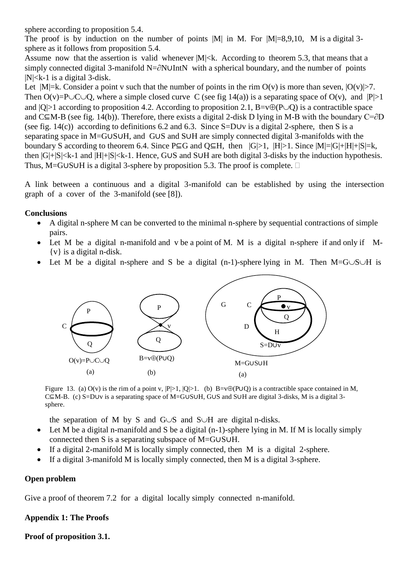sphere according to proposition 5.4.

The proof is by induction on the number of points  $|M|$  in M. For  $|M|=8,9,10$ , M is a digital 3sphere as it follows from proposition 5.4.

Assume now that the assertion is valid whenever  $|M|< k$ . According to theorem 5.3, that means that a simply connected digital 3-manifold N= $\partial$ N∪IntN with a spherical boundary, and the number of points  $|N|$  < k-1 is a digital 3-disk.

Let  $|M|=k$ . Consider a point v such that the number of points in the rim  $O(v)$  is more than seven,  $|O(v)|>7$ . Then  $O(v)=P\cup C\cup Q$ , where a simple closed curve C (see fig 14(a)) is a separating space of  $O(v)$ , and  $|P|>1$ and  $|Q|>1$  according to proposition 4.2. According to proposition 2.1, B=v $\oplus$ (P $\cup$ Q) is a contractible space and C⊆M-B (see fig. 14(b)). Therefore, there exists a digital 2-disk D lying in M-B with the boundary C=∂D (see fig. 14(c)) according to definitions 6.2 and 6.3. Since  $S = D \cup v$  is a digital 2-sphere, then S is a separating space in M=GUSUH, and GUS and SUH are simply connected digital 3-manifolds with the boundary S according to theorem 6.4. Since  $P \subseteq G$  and  $Q \subseteq H$ , then  $|G| > 1$ ,  $|H| > 1$ . Since  $|M| = |G| + |H| + |S| = k$ , then  $|G|+|S| and  $|H|+|S|. Hence,  $G\cup S$  and  $S\cup H$  are both digital 3-disks by the induction hypothesis.$$ Thus, M=GUSUH is a digital 3-sphere by proposition 5.3. The proof is complete.  $\Box$ 

A link between a continuous and a digital 3-manifold can be established by using the intersection graph of a cover of the 3-manifold (see [8]).

### **Conclusions**

- A digital n-sphere M can be converted to the minimal n-sphere by sequential contractions of simple pairs.
- Let M be a digital n-manifold and v be a point of M. M is a digital n-sphere if and only if M- {v} is a digital n-disk.
- Let M be a digital n-sphere and S be a digital (n-1)-sphere lying in M. Then  $M=$  G $\cup$ S $\cup$ H is



Figure 13. (a) O(v) is the rim of a point v,  $|P|>1$ ,  $|Q|>1$ . (b) B=v $\oplus$ (PUQ) is a contractible space contained in M,  $C \subseteq M-B$ . (c) S=DUv is a separating space of M=GUSUH, GUS and SUH are digital 3-disks, M is a digital 3sphere.

the separation of M by S and G $\cup$ S and S $\cup$ H are digital n-disks.

- Let M be a digital n-manifold and S be a digital  $(n-1)$ -sphere lying in M. If M is locally simply connected then S is a separating subspace of  $M = G \cup S \cup H$ .
- If a digital 2-manifold M is locally simply connected, then M is a digital 2-sphere.
- If a digital 3-manifold M is locally simply connected, then M is a digital 3-sphere.

#### **Open problem**

Give a proof of theorem 7.2 for a digital locally simply connected n-manifold.

## **Appendix 1: The Proofs**

## **Proof of proposition 3.1.**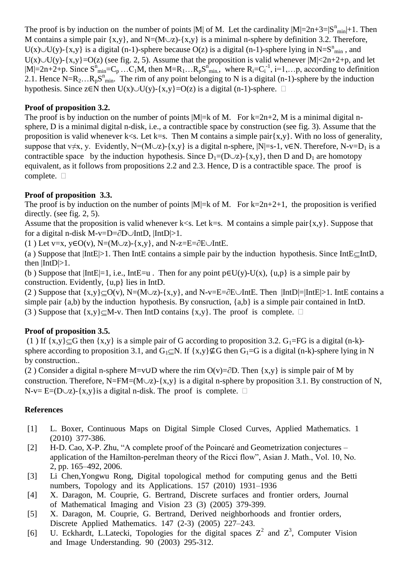The proof is by induction on the number of points |M| of M. Let the cardinality  $|M|=2n+3=|S^n_{min}|+1$ . Then M contains a simple pair  $\{x,y\}$ , and  $N=(M\cup z)$ - $\{x,y\}$  is a minimal n-sphere by definition 3.2. Therefore,  $U(x) \cup U(y)$ -{x,y} is a digital (n-1)-sphere because O(z) is a digital (n-1)-sphere lying in N=S<sup>n</sup><sub>min</sub>, and  $U(x) \cup U(y)$ -{x,y}=O(z) (see fig. 2, 5). Assume that the proposition is valid whenever  $|M| < 2n+2+p$ , and let  $|M|=2n+2+p$ . Since  $S^n_{min}=C_p...C_1M$ , then  $M=R_1...R_pS^n_{min}$ , where  $R_i=C_i^{-1}$ ,  $i=1,...p$ , according to definition 2.1. Hence  $N=R_2...R_pS_{min}^n$ . The rim of any point belonging to N is a digital (n-1)-sphere by the induction hypothesis. Since z $\in$ N then U(x) $\cup$ U(y)-{x,y}=O(z) is a digital (n-1)-sphere.  $\Box$ 

### **Proof of proposition 3.2.**

The proof is by induction on the number of points  $|M|=k$  of M. For  $k=2n+2$ , M is a minimal digital nsphere, D is a minimal digital n-disk, i.e., a contractible space by construction (see fig. 3). Assume that the proposition is valid whenever k<s. Let k=s. Then M contains a simple pair $\{x,y\}$ . With no loss of generality, suppose that v≠x, y. Evidently, N=(M∪z)-{x,y} is a digital n-sphere, |N|=s-1, v∈N. Therefore, N-v=D<sub>1</sub> is a contractible space by the induction hypothesis. Since  $D_1=(D\cup Z)-\{x,y\}$ , then D and  $D_1$  are homotopy equivalent, as it follows from propositions 2.2 and 2.3. Hence, D is a contractible space. The proof is complete.  $\square$ 

### **Proof of proposition 3.3.**

The proof is by induction on the number of points  $|M|=k$  of M. For  $k=2n+2+1$ , the proposition is verified directly. (see fig. 2, 5).

Assume that the proposition is valid whenever k<s. Let k=s. M contains a simple pair $\{x,y\}$ . Suppose that for a digital n-disk M-v=D= $\partial$ D $\cup$ IntD, |IntD|>1.

(1) Let v=x,  $y \in O(v)$ ,  $N=(M\cup z)$ -{x,y}, and  $N-z=E=\partial E\cup IntE$ .

(a) Suppose that  $|IntE|>1$ . Then IntE contains a simple pair by the induction hypothesis. Since IntE $\subset$ IntD, then  $|IntD|>1$ .

(b) Suppose that  $|IntE|=1$ , i.e.,  $IntE=u$ . Then for any point  $p \in U(y)-U(x)$ ,  $\{u,p\}$  is a simple pair by construction. Evidently, {u,p} lies in IntD.

(2) Suppose that  $\{x,y\} \subset O(v)$ , N=(M $\cup$ z)- $\{x,y\}$ , and N-v=E= $\partial E \cup Int E$ . Then  $|Int D|=Int E|>1$ . IntE contains a simple pair {a,b) by the induction hypothesis. By consruction, {a,b} is a simple pair contained in IntD. (3) Suppose that  $\{x,y\} \subset M$ -v. Then IntD contains  $\{x,y\}$ . The proof is complete.  $\Box$ 

## **Proof of proposition 3.5.**

(1) If  $\{x,y\} \subseteq G$  then  $\{x,y\}$  is a simple pair of G according to proposition 3.2. G<sub>1</sub>=FG is a digital (n-k)sphere according to proposition 3.1, and  $G_1 \subset N$ . If  $\{x,y\} \nsubseteq G$  then  $G_1 = G$  is a digital (n-k)-sphere lying in N by construction..

(2) Consider a digital n-sphere M=v $\cup$ D where the rim  $O(v)=\partial D$ . Then {x,y} is simple pair of M by construction. Therefore, N=FM=(M $\cup$ z)-{x,y} is a digital n-sphere by proposition 3.1. By construction of N, N-v=  $E=(D\cup z)$ -{x,y}is a digital n-disk. The proof is complete.  $\Box$ 

#### **References**

- [1] L. Boxer, Continuous Maps on Digital Simple Closed Curves, Applied Mathematics. 1 (2010) 377-386.
- [2] H-D. Cao, X-P. Zhu, "A complete proof of the Poincaré and Geometrization conjectures application of the Hamilton-perelman theory of the Ricci flow", Asian J. Math., Vol. 10, No. 2, pp. 165–492, 2006.
- [3] Li Chen,Yongwu Rong, Digital topological method for computing genus and the Betti numbers, Topology and its Applications. 157 (2010) 1931–1936
- [4] X. Daragon, M. Couprie, G. Bertrand, Discrete surfaces and frontier orders, Journal of Mathematical Imaging and Vision 23 (3) (2005) 379-399.
- [5] X. Daragon, M. Couprie, G. Bertrand, Derived neighborhoods and frontier orders, Discrete Applied Mathematics. 147 (2-3) (2005) 227–243.
- [6] U. Eckhardt, L.Latecki, Topologies for the digital spaces  $Z^2$  and  $Z^3$ , Computer Vision and Image Understanding. 90 (2003) 295-312.